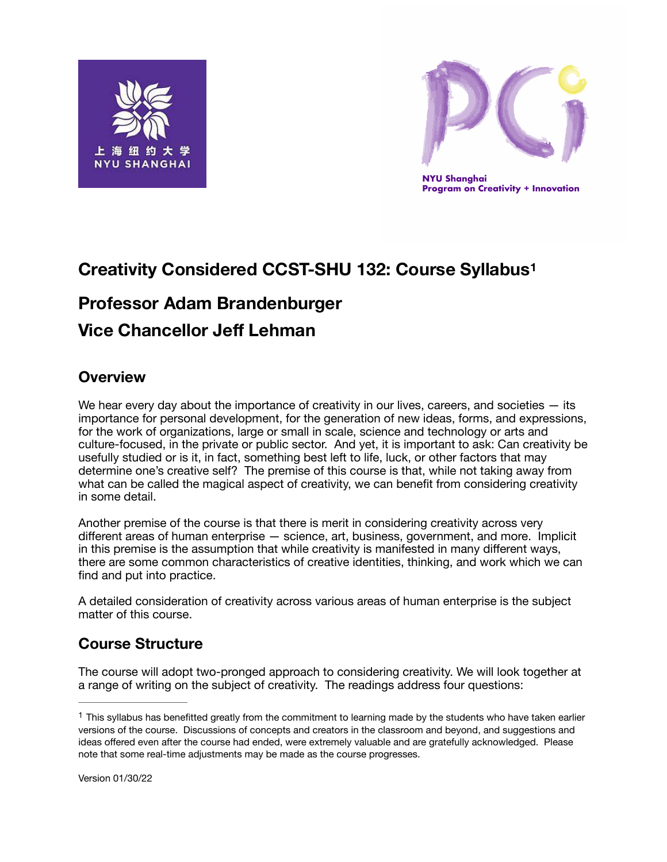



<span id="page-0-1"></span>**NYU Shanghai Program on Creativity + Innovation** 

# **Creativity Considered CCST-SHU 132: Course Syllabus[1](#page-0-0)**

# **Professor Adam Brandenburger**

# **Vice Chancellor Jeff Lehman**

### **Overview**

We hear every day about the importance of creativity in our lives, careers, and societies  $-$  its importance for personal development, for the generation of new ideas, forms, and expressions, for the work of organizations, large or small in scale, science and technology or arts and culture-focused, in the private or public sector. And yet, it is important to ask: Can creativity be usefully studied or is it, in fact, something best left to life, luck, or other factors that may determine one's creative self? The premise of this course is that, while not taking away from what can be called the magical aspect of creativity, we can benefit from considering creativity in some detail.

Another premise of the course is that there is merit in considering creativity across very different areas of human enterprise — science, art, business, government, and more. Implicit in this premise is the assumption that while creativity is manifested in many different ways, there are some common characteristics of creative identities, thinking, and work which we can find and put into practice.

A detailed consideration of creativity across various areas of human enterprise is the subject matter of this course.

## **Course Structure**

The course will adopt two-pronged approach to considering creativity. We will look together at a range of writing on the subject of creativity. The readings address four questions:

<span id="page-0-0"></span> $1$  This syllabus has benefitted greatly from the commitment to learning made by the students who have taken earlier versions of the course. Discussions of concepts and creators in the classroom and beyond, and suggestions and ideas offered even after the course had ended, were extremely valuable and are gratefully acknowledged. Please note that some real-time adjustments may be made as the course progresses.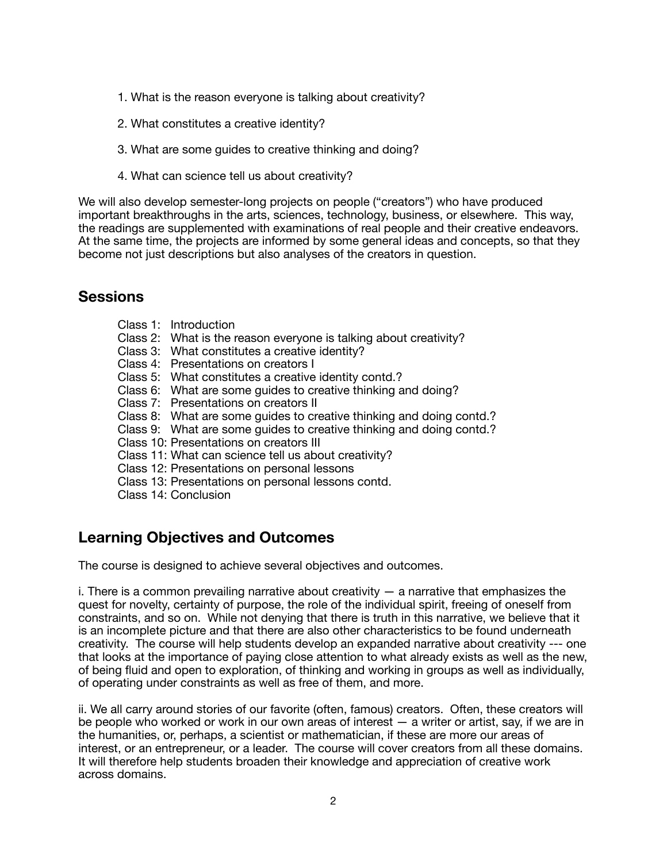- 1. What is the reason everyone is talking about creativity?
- 2. What constitutes a creative identity?
- 3. What are some guides to creative thinking and doing?
- 4. What can science tell us about creativity?

We will also develop semester-long projects on people ("creators") who have produced important breakthroughs in the arts, sciences, technology, business, or elsewhere. This way, the readings are supplemented with examinations of real people and their creative endeavors. At the same time, the projects are informed by some general ideas and concepts, so that they become not just descriptions but also analyses of the creators in question.

### **Sessions**

- Class 1: Introduction
- Class 2: What is the reason everyone is talking about creativity?
- Class 3: What constitutes a creative identity?
- Class 4: Presentations on creators I
- Class 5: What constitutes a creative identity contd.?
- Class 6: What are some guides to creative thinking and doing?
- Class 7: Presentations on creators II
- Class 8: What are some guides to creative thinking and doing contd.?
- Class 9: What are some guides to creative thinking and doing contd.?
- Class 10: Presentations on creators III
- Class 11: What can science tell us about creativity?
- Class 12: Presentations on personal lessons
- Class 13: Presentations on personal lessons contd.
- Class 14: Conclusion

## **Learning Objectives and Outcomes**

The course is designed to achieve several objectives and outcomes.

i. There is a common prevailing narrative about creativity  $-$  a narrative that emphasizes the quest for novelty, certainty of purpose, the role of the individual spirit, freeing of oneself from constraints, and so on. While not denying that there is truth in this narrative, we believe that it is an incomplete picture and that there are also other characteristics to be found underneath creativity. The course will help students develop an expanded narrative about creativity --- one that looks at the importance of paying close attention to what already exists as well as the new, of being fluid and open to exploration, of thinking and working in groups as well as individually, of operating under constraints as well as free of them, and more.

ii. We all carry around stories of our favorite (often, famous) creators. Often, these creators will be people who worked or work in our own areas of interest — a writer or artist, say, if we are in the humanities, or, perhaps, a scientist or mathematician, if these are more our areas of interest, or an entrepreneur, or a leader. The course will cover creators from all these domains. It will therefore help students broaden their knowledge and appreciation of creative work across domains.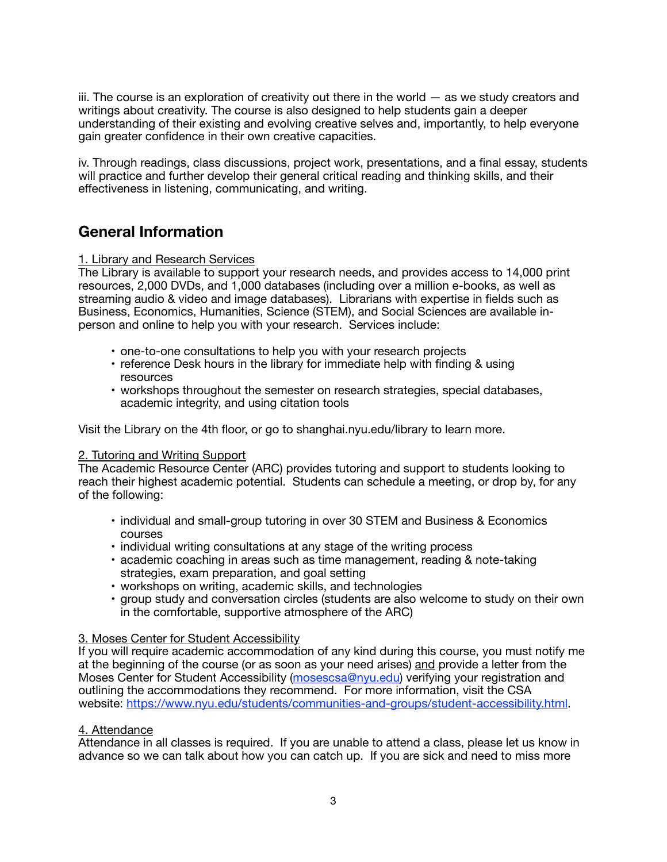iii. The course is an exploration of creativity out there in the world — as we study creators and writings about creativity. The course is also designed to help students gain a deeper understanding of their existing and evolving creative selves and, importantly, to help everyone gain greater confidence in their own creative capacities.

iv. Through readings, class discussions, project work, presentations, and a final essay, students will practice and further develop their general critical reading and thinking skills, and their effectiveness in listening, communicating, and writing.

## **General Information**

### 1. Library and Research Services

The Library is available to support your research needs, and provides access to 14,000 print resources, 2,000 DVDs, and 1,000 databases (including over a million e-books, as well as streaming audio & video and image databases). Librarians with expertise in fields such as Business, Economics, Humanities, Science (STEM), and Social Sciences are available inperson and online to help you with your research. Services include:

- one-to-one consultations to help you with your research projects
- reference Desk hours in the library for immediate help with finding & using resources
- workshops throughout the semester on research strategies, special databases, academic integrity, and using citation tools

Visit the Library on the 4th floor, or go to shanghai.nyu.edu/library to learn more.

### 2. Tutoring and Writing Support

The Academic Resource Center (ARC) provides tutoring and support to students looking to reach their highest academic potential. Students can schedule a meeting, or drop by, for any of the following:

- individual and small-group tutoring in over 30 STEM and Business & Economics courses
- individual writing consultations at any stage of the writing process
- academic coaching in areas such as time management, reading & note-taking strategies, exam preparation, and goal setting
- workshops on writing, academic skills, and technologies
- group study and conversation circles (students are also welcome to study on their own in the comfortable, supportive atmosphere of the ARC)

### 3. Moses Center for Student Accessibility

If you will require academic accommodation of any kind during this course, you must notify me at the beginning of the course (or as soon as your need arises) and provide a letter from the Moses Center for Student Accessibility ([mosescsa@nyu.edu](mailto:mosescsa@nyu.edu)) verifying your registration and outlining the accommodations they recommend. For more information, visit the CSA website: <https://www.nyu.edu/students/communities-and-groups/student-accessibility.html>.

### 4. Attendance

Attendance in all classes is required. If you are unable to attend a class, please let us know in advance so we can talk about how you can catch up. If you are sick and need to miss more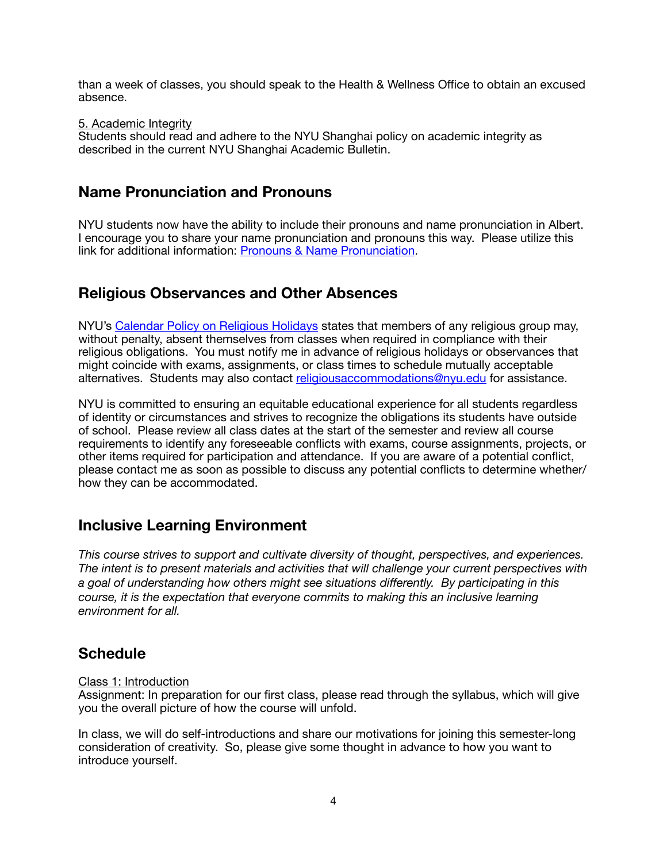than a week of classes, you should speak to the Health & Wellness Office to obtain an excused absence.

### 5. Academic Integrity

Students should read and adhere to the NYU Shanghai policy on academic integrity as described in the current NYU Shanghai Academic Bulletin.

### **Name Pronunciation and Pronouns**

NYU students now have the ability to include their pronouns and name pronunciation in Albert. I encourage you to share your name pronunciation and pronouns this way. Please utilize this link for additional information: [Pronouns & Name Pronunciation.](https://www.nyu.edu/students/student-information-and-resources/registration-records-and-graduation/forms-policies-procedures/pronouns-and-name-pronunciation.html)

### **Religious Observances and Other Absences**

NYU's [Calendar Policy on Religious Holidays](https://www.nyu.edu/about/policies-guidelines-compliance/policies-and-guidelines/university-calendar-policy-on-religious-holidays.html) states that members of any religious group may, without penalty, absent themselves from classes when required in compliance with their religious obligations. You must notify me in advance of religious holidays or observances that might coincide with exams, assignments, or class times to schedule mutually acceptable alternatives. Students may also contact [religiousaccommodations@nyu.edu](mailto:religiousaccommodations@nyu.edu) for assistance.

NYU is committed to ensuring an equitable educational experience for all students regardless of identity or circumstances and strives to recognize the obligations its students have outside of school. Please review all class dates at the start of the semester and review all course requirements to identify any foreseeable conflicts with exams, course assignments, projects, or other items required for participation and attendance. If you are aware of a potential conflict, please contact me as soon as possible to discuss any potential conflicts to determine whether/ how they can be accommodated.

### **Inclusive Learning Environment**

*This course strives to support and cultivate diversity of thought, perspectives, and experiences. The intent is to present materials and activities that will challenge your current perspectives with a goal of understanding how others might see situations differently. By participating in this course, it is the expectation that everyone commits to making this an inclusive learning environment for all.* 

### **Schedule**

### Class 1: Introduction

Assignment: In preparation for our first class, please read through the syllabus, which will give you the overall picture of how the course will unfold.

In class, we will do self-introductions and share our motivations for joining this semester-long consideration of creativity. So, please give some thought in advance to how you want to introduce yourself.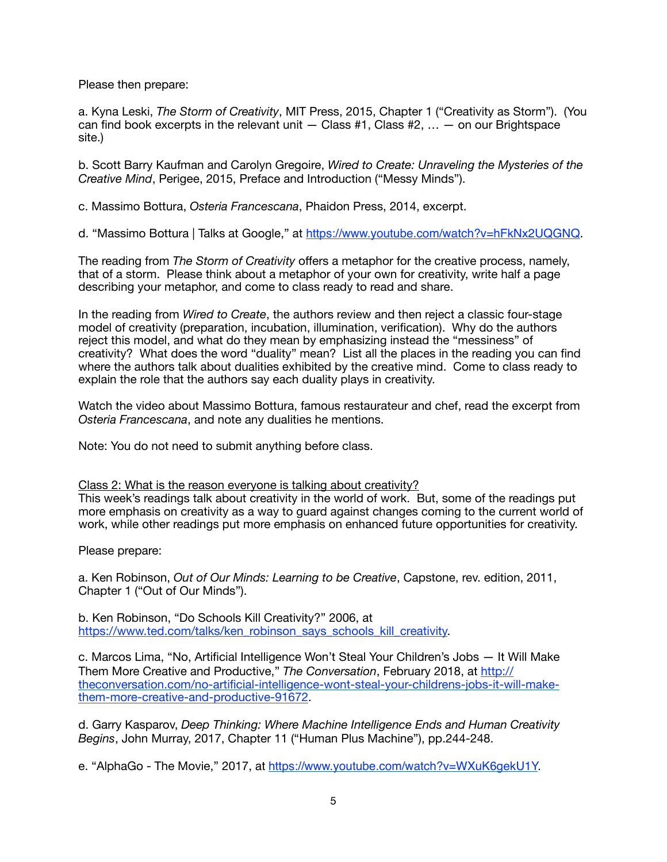Please then prepare:

a. Kyna Leski, *The Storm of Creativity*, MIT Press, 2015, Chapter 1 ("Creativity as Storm"). (You can find book excerpts in the relevant unit  $-$  Class #1, Class #2,  $\ldots$   $-$  on our Brightspace site.)

b. Scott Barry Kaufman and Carolyn Gregoire, *Wired to Create: Unraveling the Mysteries of the Creative Mind*, Perigee, 2015, Preface and Introduction ("Messy Minds").

c. Massimo Bottura, *Osteria Francescana*, Phaidon Press, 2014, excerpt.

d. "Massimo Bottura | Talks at Google," at <https://www.youtube.com/watch?v=hFkNx2UQGNQ>.

The reading from *The Storm of Creativity* offers a metaphor for the creative process, namely, that of a storm. Please think about a metaphor of your own for creativity, write half a page describing your metaphor, and come to class ready to read and share.

In the reading from *Wired to Create*, the authors review and then reject a classic four-stage model of creativity (preparation, incubation, illumination, verification). Why do the authors reject this model, and what do they mean by emphasizing instead the "messiness" of creativity? What does the word "duality" mean? List all the places in the reading you can find where the authors talk about dualities exhibited by the creative mind. Come to class ready to explain the role that the authors say each duality plays in creativity.

Watch the video about Massimo Bottura, famous restaurateur and chef, read the excerpt from *Osteria Francescana*, and note any dualities he mentions.

Note: You do not need to submit anything before class.

Class 2: What is the reason everyone is talking about creativity?

This week's readings talk about creativity in the world of work. But, some of the readings put more emphasis on creativity as a way to guard against changes coming to the current world of work, while other readings put more emphasis on enhanced future opportunities for creativity.

Please prepare:

a. Ken Robinson, *Out of Our Minds: Learning to be Creative*, Capstone, rev. edition, 2011, Chapter 1 ("Out of Our Minds").

b. Ken Robinson, "Do Schools Kill Creativity?" 2006, at [https://www.ted.com/talks/ken\\_robinson\\_says\\_schools\\_kill\\_creativity.](https://www.ted.com/talks/ken_robinson_says_schools_kill_creativity)

c. Marcos Lima, "No, Artificial Intelligence Won't Steal Your Children's Jobs — It Will Make Them More Creative and Productive," *The Conversation*, February 2018, at [http://](http://theconversation.com/no-artificial-intelligence-wont-steal-your-childrens-jobs-it-will-make-them-more-creative-and-productive-91672) [theconversation.com/no-artificial-intelligence-wont-steal-your-childrens-jobs-it-will-make](http://theconversation.com/no-artificial-intelligence-wont-steal-your-childrens-jobs-it-will-make-them-more-creative-and-productive-91672)[them-more-creative-and-productive-91672](http://theconversation.com/no-artificial-intelligence-wont-steal-your-childrens-jobs-it-will-make-them-more-creative-and-productive-91672).

d. Garry Kasparov, *Deep Thinking: Where Machine Intelligence Ends and Human Creativity Begins*, John Murray, 2017, Chapter 11 ("Human Plus Machine"), pp.244-248.

e. "AlphaGo - The Movie," 2017, at [https://www.youtube.com/watch?v=WXuK6gekU1Y.](https://www.youtube.com/watch?v=WXuK6gekU1Y)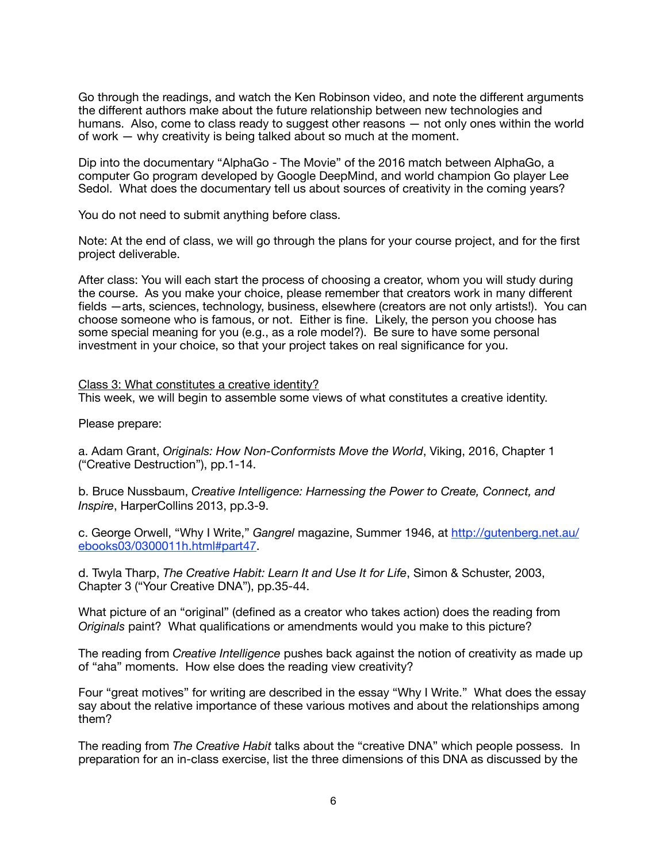Go through the readings, and watch the Ken Robinson video, and note the different arguments the different authors make about the future relationship between new technologies and humans. Also, come to class ready to suggest other reasons — not only ones within the world of work — why creativity is being talked about so much at the moment.

Dip into the documentary "AlphaGo - The Movie" of the 2016 match between AlphaGo, a computer Go program developed by Google DeepMind, and world champion Go player Lee Sedol. What does the documentary tell us about sources of creativity in the coming years?

You do not need to submit anything before class.

Note: At the end of class, we will go through the plans for your course project, and for the first project deliverable.

After class: You will each start the process of choosing a creator, whom you will study during the course. As you make your choice, please remember that creators work in many different fields —arts, sciences, technology, business, elsewhere (creators are not only artists!). You can choose someone who is famous, or not. Either is fine. Likely, the person you choose has some special meaning for you (e.g., as a role model?). Be sure to have some personal investment in your choice, so that your project takes on real significance for you.

Class 3: What constitutes a creative identity? This week, we will begin to assemble some views of what constitutes a creative identity.

Please prepare:

a. Adam Grant, *Originals: How Non-Conformists Move the World*, Viking, 2016, Chapter 1 ("Creative Destruction"), pp.1-14.

b. Bruce Nussbaum, *Creative Intelligence: Harnessing the Power to Create, Connect, and Inspire*, HarperCollins 2013, pp.3-9.

c. George Orwell, "Why I Write," *Gangrel* magazine, Summer 1946, at [http://gutenberg.net.au/](http://gutenberg.net.au/ebooks03/0300011h.html#part47) [ebooks03/0300011h.html#part47](http://gutenberg.net.au/ebooks03/0300011h.html#part47).

d. Twyla Tharp, *The Creative Habit: Learn It and Use It for Life*, Simon & Schuster, 2003, Chapter 3 ("Your Creative DNA"), pp.35-44.

What picture of an "original" (defined as a creator who takes action) does the reading from *Originals* paint? What qualifications or amendments would you make to this picture?

The reading from *Creative Intelligence* pushes back against the notion of creativity as made up of "aha" moments. How else does the reading view creativity?

Four "great motives" for writing are described in the essay "Why I Write." What does the essay say about the relative importance of these various motives and about the relationships among them?

The reading from *The Creative Habit* talks about the "creative DNA" which people possess. In preparation for an in-class exercise, list the three dimensions of this DNA as discussed by the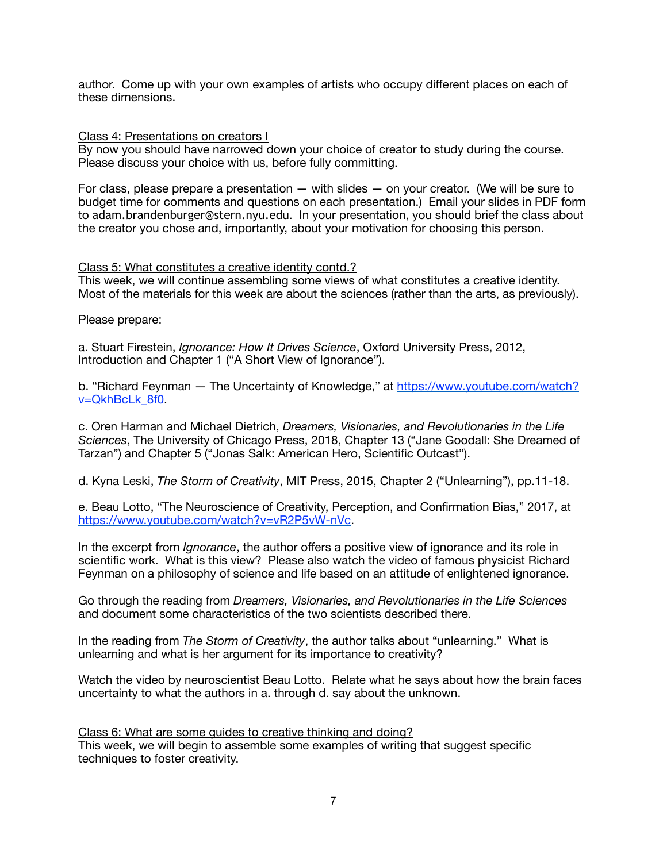author. Come up with your own examples of artists who occupy different places on each of these dimensions.

#### Class 4: Presentations on creators I

By now you should have narrowed down your choice of creator to study during the course. Please discuss your choice with us, before fully committing.

For class, please prepare a presentation  $-$  with slides  $-$  on your creator. (We will be sure to budget time for comments and questions on each presentation.) Email your slides in PDF form to adam.brandenburger@stern.nyu.edu. In your presentation, you should brief the class about the creator you chose and, importantly, about your motivation for choosing this person.

### Class 5: What constitutes a creative identity contd.?

This week, we will continue assembling some views of what constitutes a creative identity. Most of the materials for this week are about the sciences (rather than the arts, as previously).

Please prepare:

a. Stuart Firestein, *Ignorance: How It Drives Science*, Oxford University Press, 2012, Introduction and Chapter 1 ("A Short View of Ignorance").

b. "Richard Feynman — The Uncertainty of Knowledge," at [https://www.youtube.com/watch?](https://www.youtube.com/watch?v=QkhBcLk_8f0) [v=QkhBcLk\\_8f0.](https://www.youtube.com/watch?v=QkhBcLk_8f0)

c. Oren Harman and Michael Dietrich, *Dreamers, Visionaries, and Revolutionaries in the Life Sciences*, The University of Chicago Press, 2018, Chapter 13 ("Jane Goodall: She Dreamed of Tarzan") and Chapter 5 ("Jonas Salk: American Hero, Scientific Outcast").

d. Kyna Leski, *The Storm of Creativity*, MIT Press, 2015, Chapter 2 ("Unlearning"), pp.11-18.

e. Beau Lotto, "The Neuroscience of Creativity, Perception, and Confirmation Bias," 2017, at <https://www.youtube.com/watch?v=vR2P5vW-nVc>.

In the excerpt from *Ignorance*, the author offers a positive view of ignorance and its role in scientific work. What is this view? Please also watch the video of famous physicist Richard Feynman on a philosophy of science and life based on an attitude of enlightened ignorance.

Go through the reading from *Dreamers, Visionaries, and Revolutionaries in the Life Sciences* and document some characteristics of the two scientists described there.

In the reading from *The Storm of Creativity*, the author talks about "unlearning." What is unlearning and what is her argument for its importance to creativity?

Watch the video by neuroscientist Beau Lotto. Relate what he says about how the brain faces uncertainty to what the authors in a. through d. say about the unknown.

Class 6: What are some guides to creative thinking and doing? This week, we will begin to assemble some examples of writing that suggest specific techniques to foster creativity.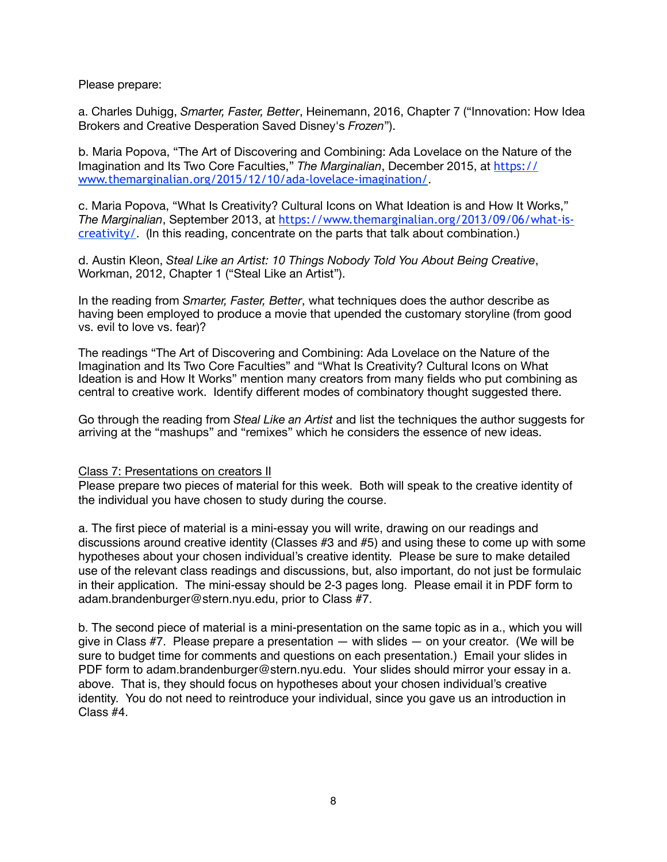Please prepare:

a. Charles Duhigg, *Smarter, Faster, Better*, Heinemann, 2016, Chapter 7 ("Innovation: How Idea Brokers and Creative Desperation Saved Disney's *Frozen*").

b. Maria Popova, "The Art of Discovering and Combining: Ada Lovelace on the Nature of the Imagination and Its Two Core Faculties," *The Marginalian*, December 2015, at [https://](https://www.themarginalian.org/2015/12/10/ada-lovelace-imagination/) [www.themarginalian.org/2015/12/10/ada-lovelace-imagination/](https://www.themarginalian.org/2015/12/10/ada-lovelace-imagination/).

c. Maria Popova, "What Is Creativity? Cultural Icons on What Ideation is and How It Works," *The Marginalian*, September 2013, at [https://www.themarginalian.org/2013/09/06/what-is](https://www.themarginalian.org/2013/09/06/what-is-creativity/)[creativity/](https://www.themarginalian.org/2013/09/06/what-is-creativity/). (In this reading, concentrate on the parts that talk about combination.)

d. Austin Kleon, *Steal Like an Artist: 10 Things Nobody Told You About Being Creative*, Workman, 2012, Chapter 1 ("Steal Like an Artist").

In the reading from *Smarter, Faster, Better*, what techniques does the author describe as having been employed to produce a movie that upended the customary storyline (from good vs. evil to love vs. fear)?

The readings "The Art of Discovering and Combining: Ada Lovelace on the Nature of the Imagination and Its Two Core Faculties" and "What Is Creativity? Cultural Icons on What Ideation is and How It Works" mention many creators from many fields who put combining as central to creative work. Identify different modes of combinatory thought suggested there.

Go through the reading from *Steal Like an Artist* and list the techniques the author suggests for arriving at the "mashups" and "remixes" which he considers the essence of new ideas.

### Class 7: Presentations on creators II

Please prepare two pieces of material for this week. Both will speak to the creative identity of the individual you have chosen to study during the course.

a. The first piece of material is a mini-essay you will write, drawing on our readings and discussions around creative identity (Classes #3 and #5) and using these to come up with some hypotheses about your chosen individual's creative identity. Please be sure to make detailed use of the relevant class readings and discussions, but, also important, do not just be formulaic in their application. The mini-essay should be 2-3 pages long. Please email it in PDF form to adam.brandenburger@stern.nyu.edu, prior to Class #7.

b. The second piece of material is a mini-presentation on the same topic as in a., which you will give in Class  $#7$ . Please prepare a presentation  $-$  with slides  $-$  on your creator. (We will be sure to budget time for comments and questions on each presentation.) Email your slides in PDF form to adam.brandenburger@stern.nyu.edu. Your slides should mirror your essay in a. above. That is, they should focus on hypotheses about your chosen individual's creative identity. You do not need to reintroduce your individual, since you gave us an introduction in Class #4.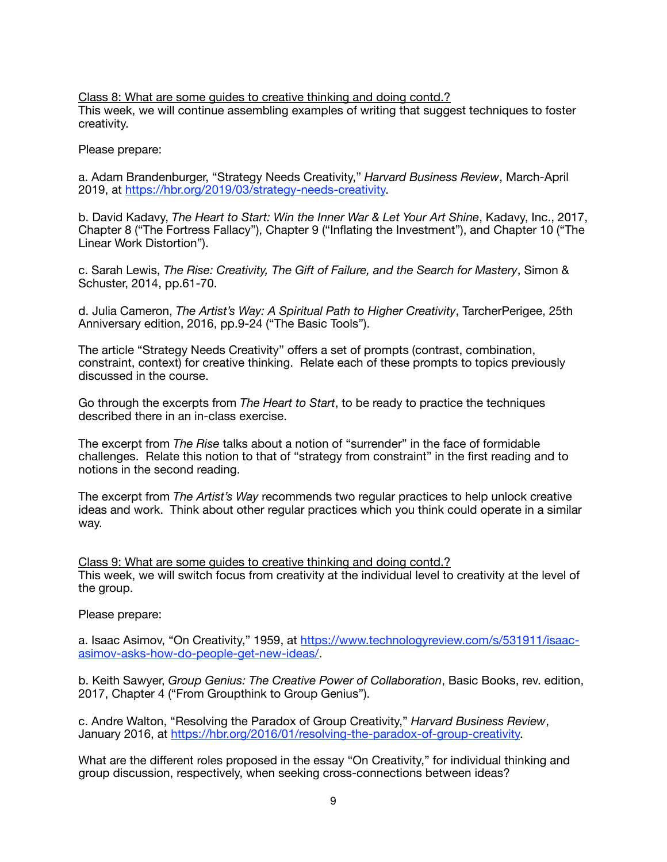Class 8: What are some guides to creative thinking and doing contd.? This week, we will continue assembling examples of writing that suggest techniques to foster creativity.

Please prepare:

a. Adam Brandenburger, "Strategy Needs Creativity," *Harvard Business Review*, March-April 2019, at [https://hbr.org/2019/03/strategy-needs-creativity.](https://hbr.org/2019/03/strategy-needs-creativity)

b. David Kadavy, *The Heart to Start: Win the Inner War & Let Your Art Shine*, Kadavy, Inc., 2017, Chapter 8 ("The Fortress Fallacy"), Chapter 9 ("Inflating the Investment"), and Chapter 10 ("The Linear Work Distortion").

c. Sarah Lewis, *The Rise: Creativity, The Gift of Failure, and the Search for Mastery*, Simon & Schuster, 2014, pp.61-70.

d. Julia Cameron, *The Artist's Way: A Spiritual Path to Higher Creativity*, TarcherPerigee, 25th Anniversary edition, 2016, pp.9-24 ("The Basic Tools").

The article "Strategy Needs Creativity" offers a set of prompts (contrast, combination, constraint, context) for creative thinking. Relate each of these prompts to topics previously discussed in the course.

Go through the excerpts from *The Heart to Start*, to be ready to practice the techniques described there in an in-class exercise.

The excerpt from *The Rise* talks about a notion of "surrender" in the face of formidable challenges. Relate this notion to that of "strategy from constraint" in the first reading and to notions in the second reading.

The excerpt from *The Artist's Way* recommends two regular practices to help unlock creative ideas and work. Think about other regular practices which you think could operate in a similar way.

Class 9: What are some guides to creative thinking and doing contd.? This week, we will switch focus from creativity at the individual level to creativity at the level of the group.

Please prepare:

[a. Isaac Asimov, "On Creativity," 1959, at https://www.technologyreview.com/s/531911/isaac](https://www.technologyreview.com/s/531911/isaac-asimov-asks-how-do-people-get-new-ideas/)[asimov-asks-how-do-people-get-new-ideas/.](https://www.technologyreview.com/s/531911/isaac-asimov-asks-how-do-people-get-new-ideas/)

b. Keith Sawyer, *Group Genius: The Creative Power of Collaboration*, Basic Books, rev. edition, 2017, Chapter 4 ("From Groupthink to Group Genius").

c. Andre Walton, "Resolving the Paradox of Group Creativity," *Harvard Business Review*, January 2016, at [https://hbr.org/2016/01/resolving-the-paradox-of-group-creativity.](https://hbr.org/2016/01/resolving-the-paradox-of-group-creativity)

What are the different roles proposed in the essay "On Creativity," for individual thinking and group discussion, respectively, when seeking cross-connections between ideas?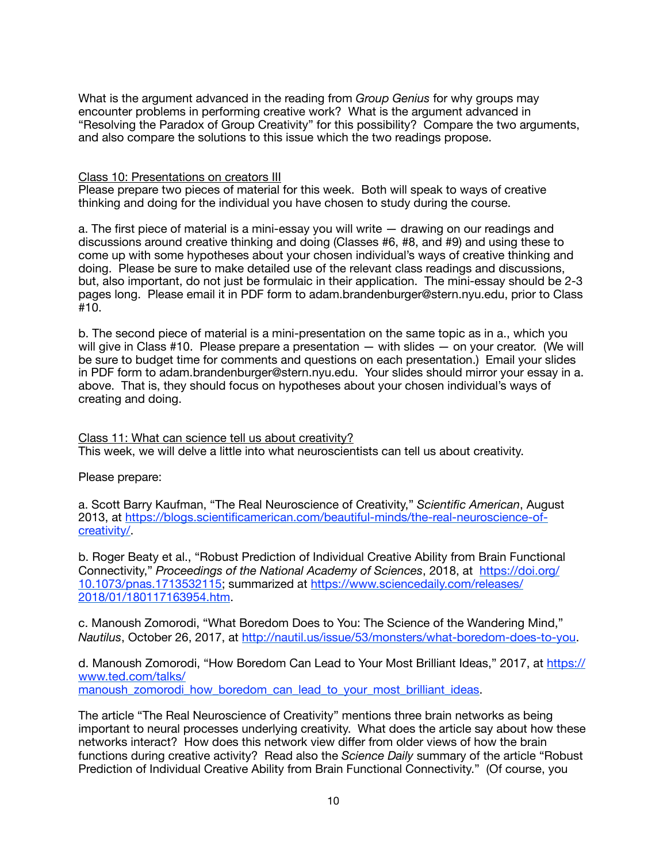What is the argument advanced in the reading from *Group Genius* for why groups may encounter problems in performing creative work? What is the argument advanced in "Resolving the Paradox of Group Creativity" for this possibility? Compare the two arguments, and also compare the solutions to this issue which the two readings propose.

#### Class 10: Presentations on creators III

Please prepare two pieces of material for this week. Both will speak to ways of creative thinking and doing for the individual you have chosen to study during the course.

a. The first piece of material is a mini-essay you will write — drawing on our readings and discussions around creative thinking and doing (Classes #6, #8, and #9) and using these to come up with some hypotheses about your chosen individual's ways of creative thinking and doing. Please be sure to make detailed use of the relevant class readings and discussions, but, also important, do not just be formulaic in their application. The mini-essay should be 2-3 pages long. Please email it in PDF form to adam.brandenburger@stern.nyu.edu, prior to Class #10.

b. The second piece of material is a mini-presentation on the same topic as in a., which you will give in Class #10. Please prepare a presentation — with slides — on your creator. (We will be sure to budget time for comments and questions on each presentation.) Email your slides in PDF form to adam.brandenburger@stern.nyu.edu. Your slides should mirror your essay in a. above. That is, they should focus on hypotheses about your chosen individual's ways of creating and doing.

Class 11: What can science tell us about creativity? This week, we will delve a little into what neuroscientists can tell us about creativity.

Please prepare:

a. Scott Barry Kaufman, "The Real Neuroscience of Creativity," *Scientific American*, August [2013, at https://blogs.scientificamerican.com/beautiful-minds/the-real-neuroscience-of](https://blogs.scientificamerican.com/beautiful-minds/the-real-neuroscience-of-creativity/)[creativity/.](https://blogs.scientificamerican.com/beautiful-minds/the-real-neuroscience-of-creativity/)

b. Roger Beaty et al., "Robust Prediction of Individual Creative Ability from Brain Functional Connectivity," *Proceedings of the National Academy of Sciences*, 2018, at [https://doi.org/](https://doi.org/10.1073/pnas.1713532115) [10.1073/pnas.1713532115;](https://doi.org/10.1073/pnas.1713532115) summarized at [https://www.sciencedaily.com/releases/](https://www.sciencedaily.com/releases/2018/01/180117163954.htm) [2018/01/180117163954.htm](https://www.sciencedaily.com/releases/2018/01/180117163954.htm).

c. Manoush Zomorodi, "What Boredom Does to You: The Science of the Wandering Mind," *Nautilus*, October 26, 2017, at [http://nautil.us/issue/53/monsters/what-boredom-does-to-you.](http://nautil.us/issue/53/monsters/what-boredom-does-to-you)

d. Manoush Zomorodi, "How Boredom Can Lead to Your Most Brilliant Ideas," 2017, at [https://](https://www.ted.com/talks/manoush_zomorodi_how_boredom_can_lead_to_your_most_brilliant_ideas) [www.ted.com/talks/](https://www.ted.com/talks/manoush_zomorodi_how_boredom_can_lead_to_your_most_brilliant_ideas)

manoush zomorodi how boredom can lead to your most brilliant ideas.

The article "The Real Neuroscience of Creativity" mentions three brain networks as being important to neural processes underlying creativity. What does the article say about how these networks interact? How does this network view differ from older views of how the brain functions during creative activity? Read also the *Science Daily* summary of the article "Robust Prediction of Individual Creative Ability from Brain Functional Connectivity." (Of course, you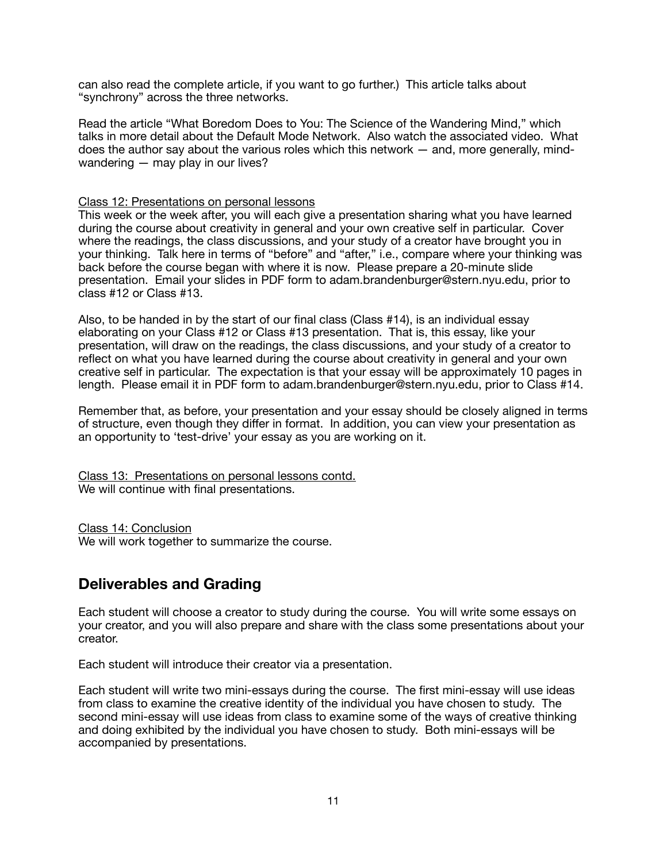can also read the complete article, if you want to go further.) This article talks about "synchrony" across the three networks.

Read the article "What Boredom Does to You: The Science of the Wandering Mind," which talks in more detail about the Default Mode Network. Also watch the associated video. What does the author say about the various roles which this network — and, more generally, mindwandering — may play in our lives?

### Class 12: Presentations on personal lessons

This week or the week after, you will each give a presentation sharing what you have learned during the course about creativity in general and your own creative self in particular. Cover where the readings, the class discussions, and your study of a creator have brought you in your thinking. Talk here in terms of "before" and "after," i.e., compare where your thinking was back before the course began with where it is now. Please prepare a 20-minute slide presentation. Email your slides in PDF form to adam.brandenburger@stern.nyu.edu, prior to class #12 or Class #13.

Also, to be handed in by the start of our final class (Class #14), is an individual essay elaborating on your Class #12 or Class #13 presentation. That is, this essay, like your presentation, will draw on the readings, the class discussions, and your study of a creator to reflect on what you have learned during the course about creativity in general and your own creative self in particular. The expectation is that your essay will be approximately 10 pages in length. Please email it in PDF form to adam.brandenburger@stern.nyu.edu, prior to Class #14.

Remember that, as before, your presentation and your essay should be closely aligned in terms of structure, even though they differ in format. In addition, you can view your presentation as an opportunity to 'test-drive' your essay as you are working on it.

Class 13: Presentations on personal lessons contd. We will continue with final presentations.

Class 14: Conclusion We will work together to summarize the course.

### **Deliverables and Grading**

Each student will choose a creator to study during the course. You will write some essays on your creator, and you will also prepare and share with the class some presentations about your creator.

Each student will introduce their creator via a presentation.

Each student will write two mini-essays during the course. The first mini-essay will use ideas from class to examine the creative identity of the individual you have chosen to study. The second mini-essay will use ideas from class to examine some of the ways of creative thinking and doing exhibited by the individual you have chosen to study. Both mini-essays will be accompanied by presentations.